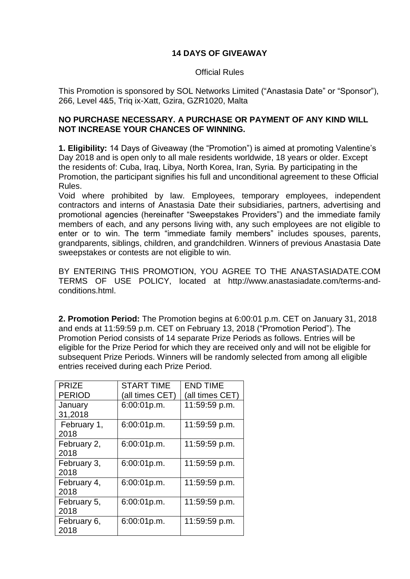# **14 DAYS OF GIVEAWAY**

### Official Rules

This Promotion is sponsored by SOL Networks Limited ("Anastasia Date" or "Sponsor"), 266, Level 4&5, Triq ix-Xatt, Gzira, GZR1020, Malta

#### **NO PURCHASE NECESSARY. A PURCHASE OR PAYMENT OF ANY KIND WILL NOT INCREASE YOUR CHANCES OF WINNING.**

**1. Eligibility:** 14 Days of Giveaway (the "Promotion") is aimed at promoting Valentine's Day 2018 and is open only to all male residents worldwide, 18 years or older. Except the residents of: Cuba, Iraq, Libya, North Korea, Iran, Syria*.* By participating in the Promotion, the participant signifies his full and unconditional agreement to these Official Rules.

Void where prohibited by law. Employees, temporary employees, independent contractors and interns of Anastasia Date their subsidiaries, partners, advertising and promotional agencies (hereinafter "Sweepstakes Providers") and the immediate family members of each, and any persons living with, any such employees are not eligible to enter or to win. The term "immediate family members" includes spouses, parents, grandparents, siblings, children, and grandchildren. Winners of previous Anastasia Date sweepstakes or contests are not eligible to win.

BY ENTERING THIS PROMOTION, YOU AGREE TO THE ANASTASIADATE.COM TERMS OF USE POLICY, located at [http://www.anastasiadate.com/terms-and](http://www.anastasiadate.com/terms-and-conditions.html)[conditions.html.](http://www.anastasiadate.com/terms-and-conditions.html)

**2. Promotion Period:** The Promotion begins at 6:00:01 p.m. CET on January 31, 2018 and ends at 11:59:59 p.m. CET on February 13, 2018 ("Promotion Period"). The Promotion Period consists of 14 separate Prize Periods as follows. Entries will be eligible for the Prize Period for which they are received only and will not be eligible for subsequent Prize Periods. Winners will be randomly selected from among all eligible entries received during each Prize Period.

| <b>PRIZE</b>        | <b>START TIME</b> | <b>END TIME</b> |
|---------------------|-------------------|-----------------|
| <b>PERIOD</b>       | (all times CET)   | (all times CET) |
| January<br>31,2018  | 6:00:01p.m.       | 11:59:59 p.m.   |
| February 1,<br>2018 | 6:00:01p.m.       | 11:59:59 p.m.   |
| February 2,<br>2018 | 6:00:01p.m.       | 11:59:59 p.m.   |
| February 3,<br>2018 | 6:00:01p.m.       | 11:59:59 p.m.   |
| February 4,<br>2018 | 6:00:01p.m.       | 11:59:59 p.m.   |
| February 5,<br>2018 | 6:00:01p.m.       | 11:59:59 p.m.   |
| February 6,<br>2018 | 6:00:01p.m.       | 11:59:59 p.m.   |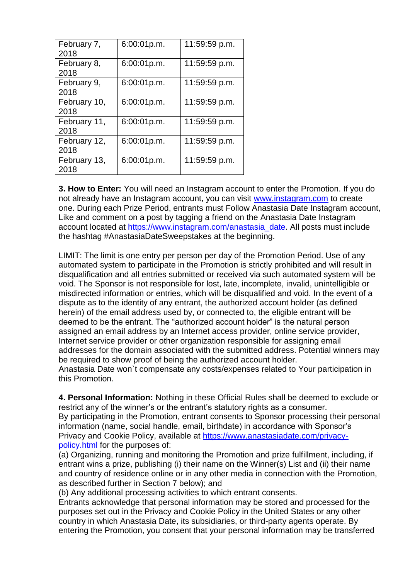| February 7,<br>2018  | 6:00:01p.m. | 11:59:59 p.m. |
|----------------------|-------------|---------------|
| February 8,<br>2018  | 6:00:01p.m. | 11:59:59 p.m. |
| February 9,<br>2018  | 6:00:01p.m. | 11:59:59 p.m. |
| February 10,<br>2018 | 6:00:01p.m. | 11:59:59 p.m. |
| February 11,<br>2018 | 6:00:01p.m. | 11:59:59 p.m. |
| February 12,<br>2018 | 6:00:01p.m. | 11:59:59 p.m. |
| February 13,<br>2018 | 6:00:01p.m. | 11:59:59 p.m. |

**3. How to Enter:** You will need an Instagram account to enter the Promotion. If you do not already have an Instagram account, you can visit [www.instagram.com](http://www.instagram.com/) to create one. During each Prize Period, entrants must Follow Anastasia Date Instagram account, Like and comment on a post by tagging a friend on the Anastasia Date Instagram account located at [https://www.instagram.com/anastasia\\_date.](https://www.instagram.com/anastasia_date) All posts must include the hashtag #AnastasiaDateSweepstakes at the beginning.

LIMIT: The limit is one entry per person per day of the Promotion Period. Use of any automated system to participate in the Promotion is strictly prohibited and will result in disqualification and all entries submitted or received via such automated system will be void. The Sponsor is not responsible for lost, late, incomplete, invalid, unintelligible or misdirected information or entries, which will be disqualified and void. In the event of a dispute as to the identity of any entrant, the authorized account holder (as defined herein) of the email address used by, or connected to, the eligible entrant will be deemed to be the entrant. The "authorized account holder" is the natural person assigned an email address by an Internet access provider, online service provider, Internet service provider or other organization responsible for assigning email addresses for the domain associated with the submitted address. Potential winners may be required to show proof of being the authorized account holder. Anastasia Date won`t compensate any costs/expenses related to Your participation in this Promotion.

**4. Personal Information:** Nothing in these Official Rules shall be deemed to exclude or restrict any of the winner's or the entrant's statutory rights as a consumer.

By participating in the Promotion, entrant consents to Sponsor processing their personal information (name, social handle, email, birthdate) in accordance with Sponsor's Privacy and Cookie Policy, available at [https://www.anastasiadate.com/privacy](https://www.anastasiadate.com/privacy-policy.html)[policy.html](https://www.anastasiadate.com/privacy-policy.html) for the purposes of:

(a) Organizing, running and monitoring the Promotion and prize fulfillment, including, if entrant wins a prize, publishing (i) their name on the Winner(s) List and (ii) their name and country of residence online or in any other media in connection with the Promotion, as described further in Section 7 below); and

(b) Any additional processing activities to which entrant consents.

Entrants acknowledge that personal information may be stored and processed for the purposes set out in the Privacy and Cookie Policy in the United States or any other country in which Anastasia Date, its subsidiaries, or third-party agents operate. By entering the Promotion, you consent that your personal information may be transferred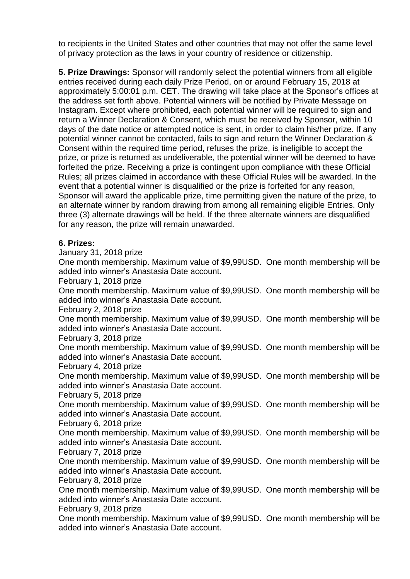to recipients in the United States and other countries that may not offer the same level of privacy protection as the laws in your country of residence or citizenship.

**5. Prize Drawings:** Sponsor will randomly select the potential winners from all eligible entries received during each daily Prize Period, on or around February 15, 2018 at approximately 5:00:01 p.m. CET. The drawing will take place at the Sponsor's offices at the address set forth above. Potential winners will be notified by Private Message on Instagram. Except where prohibited, each potential winner will be required to sign and return a Winner Declaration & Consent, which must be received by Sponsor, within 10 days of the date notice or attempted notice is sent, in order to claim his/her prize. If any potential winner cannot be contacted, fails to sign and return the Winner Declaration & Consent within the required time period, refuses the prize, is ineligible to accept the prize, or prize is returned as undeliverable, the potential winner will be deemed to have forfeited the prize. Receiving a prize is contingent upon compliance with these Official Rules; all prizes claimed in accordance with these Official Rules will be awarded. In the event that a potential winner is disqualified or the prize is forfeited for any reason, Sponsor will award the applicable prize, time permitting given the nature of the prize, to an alternate winner by random drawing from among all remaining eligible Entries. Only three (3) alternate drawings will be held. If the three alternate winners are disqualified for any reason, the prize will remain unawarded.

## **6. Prizes:**

January 31, 2018 prize

One month membership. Maximum value of \$9,99USD. One month membership will be added into winner's Anastasia Date account.

February 1, 2018 prize

One month membership. Maximum value of \$9,99USD. One month membership will be added into winner's Anastasia Date account.

February 2, 2018 prize

One month membership. Maximum value of \$9,99USD. One month membership will be added into winner's Anastasia Date account.

February 3, 2018 prize

One month membership. Maximum value of \$9,99USD. One month membership will be added into winner's Anastasia Date account.

February 4, 2018 prize

One month membership. Maximum value of \$9,99USD. One month membership will be added into winner's Anastasia Date account.

February 5, 2018 prize

One month membership. Maximum value of \$9,99USD. One month membership will be added into winner's Anastasia Date account.

February 6, 2018 prize

One month membership. Maximum value of \$9,99USD. One month membership will be added into winner's Anastasia Date account.

February 7, 2018 prize

One month membership. Maximum value of \$9,99USD. One month membership will be added into winner's Anastasia Date account.

February 8, 2018 prize

One month membership. Maximum value of \$9,99USD. One month membership will be added into winner's Anastasia Date account.

February 9, 2018 prize

One month membership. Maximum value of \$9,99USD. One month membership will be added into winner's Anastasia Date account.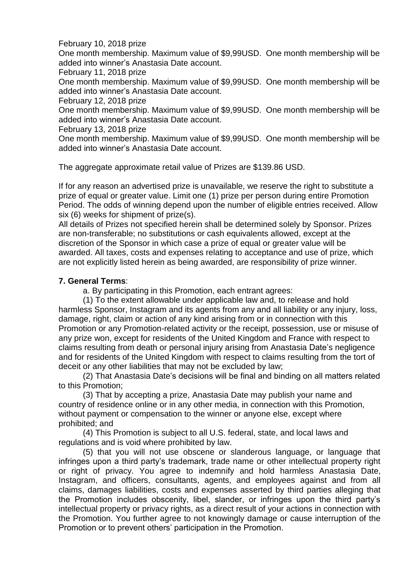February 10, 2018 prize

One month membership. Maximum value of \$9,99USD. One month membership will be added into winner's Anastasia Date account.

February 11, 2018 prize

One month membership. Maximum value of \$9,99USD. One month membership will be added into winner's Anastasia Date account.

February 12, 2018 prize

One month membership. Maximum value of \$9,99USD. One month membership will be added into winner's Anastasia Date account.

February 13, 2018 prize

One month membership. Maximum value of \$9,99USD. One month membership will be added into winner's Anastasia Date account.

The aggregate approximate retail value of Prizes are \$139.86 USD.

If for any reason an advertised prize is unavailable, we reserve the right to substitute a prize of equal or greater value. Limit one (1) prize per person during entire Promotion Period. The odds of winning depend upon the number of eligible entries received. Allow six (6) weeks for shipment of prize(s).

All details of Prizes not specified herein shall be determined solely by Sponsor. Prizes are non-transferable; no substitutions or cash equivalents allowed, except at the discretion of the Sponsor in which case a prize of equal or greater value will be awarded. All taxes, costs and expenses relating to acceptance and use of prize, which are not explicitly listed herein as being awarded, are responsibility of prize winner.

#### **7. General Terms**:

a. By participating in this Promotion, each entrant agrees:

(1) To the extent allowable under applicable law and, to release and hold harmless Sponsor, Instagram and its agents from any and all liability or any injury, loss, damage, right, claim or action of any kind arising from or in connection with this Promotion or any Promotion-related activity or the receipt, possession, use or misuse of any prize won, except for residents of the United Kingdom and France with respect to claims resulting from death or personal injury arising from Anastasia Date's negligence and for residents of the United Kingdom with respect to claims resulting from the tort of deceit or any other liabilities that may not be excluded by law;

(2) That Anastasia Date's decisions will be final and binding on all matters related to this Promotion;

(3) That by accepting a prize, Anastasia Date may publish your name and country of residence online or in any other media, in connection with this Promotion, without payment or compensation to the winner or anyone else, except where prohibited; and

(4) This Promotion is subject to all U.S. federal, state, and local laws and regulations and is void where prohibited by law.

(5) that you will not use obscene or slanderous language, or language that infringes upon a third party's trademark, trade name or other intellectual property right or right of privacy. You agree to indemnify and hold harmless Anastasia Date, Instagram, and officers, consultants, agents, and employees against and from all claims, damages liabilities, costs and expenses asserted by third parties alleging that the Promotion includes obscenity, libel, slander, or infringes upon the third party's intellectual property or privacy rights, as a direct result of your actions in connection with the Promotion. You further agree to not knowingly damage or cause interruption of the Promotion or to prevent others' participation in the Promotion.